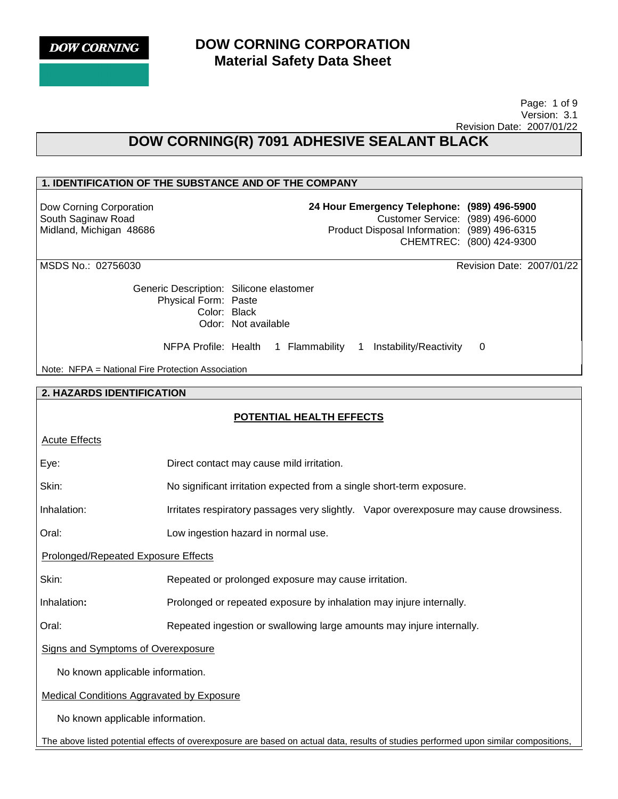# **DOW CORNING CORPORATION Material Safety Data Sheet**

 Page: 1 of 9 Version: 3.1 Revision Date: 2007/01/22

# **DOW CORNING(R) 7091 ADHESIVE SEALANT BLACK**

## **1. IDENTIFICATION OF THE SUBSTANCE AND OF THE COMPANY**

Dow Corning Corporation South Saginaw Road Midland, Michigan 48686 **24 Hour Emergency Telephone: (989) 496-5900** Customer Service: (989) 496-6000 Product Disposal Information: (989) 496-6315 CHEMTREC: (800) 424-9300

MSDS No.: 02756030 Revision Date: 2007/01/22

Generic Description: Silicone elastomer Physical Form: Paste Color: Black Odor: Not available

NFPA Profile: Health 1 Flammability 1 Instability/Reactivity 0

Note: NFPA = National Fire Protection Association

#### **2. HAZARDS IDENTIFICATION**

## **POTENTIAL HEALTH EFFECTS**

| <b>Acute Effects</b>                                                                                                                 |                                                                                        |  |  |
|--------------------------------------------------------------------------------------------------------------------------------------|----------------------------------------------------------------------------------------|--|--|
| Eye:                                                                                                                                 | Direct contact may cause mild irritation.                                              |  |  |
| Skin:                                                                                                                                | No significant irritation expected from a single short-term exposure.                  |  |  |
| Inhalation:                                                                                                                          | Irritates respiratory passages very slightly. Vapor overexposure may cause drowsiness. |  |  |
| Oral:                                                                                                                                | Low ingestion hazard in normal use.                                                    |  |  |
| Prolonged/Repeated Exposure Effects                                                                                                  |                                                                                        |  |  |
| Skin:                                                                                                                                | Repeated or prolonged exposure may cause irritation.                                   |  |  |
| Inhalation:                                                                                                                          | Prolonged or repeated exposure by inhalation may injure internally.                    |  |  |
| Repeated ingestion or swallowing large amounts may injure internally.<br>Oral:                                                       |                                                                                        |  |  |
| <b>Signs and Symptoms of Overexposure</b>                                                                                            |                                                                                        |  |  |
| No known applicable information.                                                                                                     |                                                                                        |  |  |
| <b>Medical Conditions Aggravated by Exposure</b>                                                                                     |                                                                                        |  |  |
| No known applicable information.                                                                                                     |                                                                                        |  |  |
| The above listed potential effects of overexposure are based on actual data, results of studies performed upon similar compositions, |                                                                                        |  |  |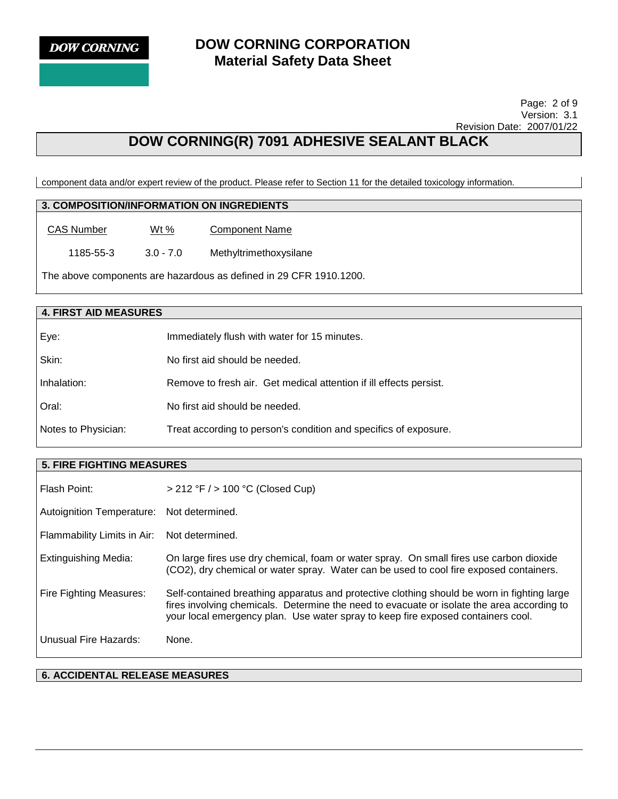

# **DOW CORNING CORPORATION Material Safety Data Sheet**

 Page: 2 of 9 Version: 3.1 Revision Date: 2007/01/22

# **DOW CORNING(R) 7091 ADHESIVE SEALANT BLACK**

component data and/or expert review of the product. Please refer to Section 11 for the detailed toxicology information.

## **3. COMPOSITION/INFORMATION ON INGREDIENTS**

CAS Number Wt% Component Name

1185-55-3 3.0 - 7.0 Methyltrimethoxysilane

The above components are hazardous as defined in 29 CFR 1910.1200.

### **4. FIRST AID MEASURES**

| Eye:                | Immediately flush with water for 15 minutes.                       |
|---------------------|--------------------------------------------------------------------|
| Skin:               | No first aid should be needed.                                     |
| Inhalation:         | Remove to fresh air. Get medical attention if ill effects persist. |
| Oral:               | No first aid should be needed.                                     |
| Notes to Physician: | Treat according to person's condition and specifics of exposure.   |

#### **5. FIRE FIGHTING MEASURES**

| Flash Point:                              | $> 212$ °F $/$ > 100 °C (Closed Cup)                                                                                                                                                                                                                                          |  |
|-------------------------------------------|-------------------------------------------------------------------------------------------------------------------------------------------------------------------------------------------------------------------------------------------------------------------------------|--|
| Autoignition Temperature: Not determined. |                                                                                                                                                                                                                                                                               |  |
| Flammability Limits in Air:               | Not determined.                                                                                                                                                                                                                                                               |  |
| Extinguishing Media:                      | On large fires use dry chemical, foam or water spray. On small fires use carbon dioxide<br>(CO2), dry chemical or water spray. Water can be used to cool fire exposed containers.                                                                                             |  |
| Fire Fighting Measures:                   | Self-contained breathing apparatus and protective clothing should be worn in fighting large<br>fires involving chemicals. Determine the need to evacuate or isolate the area according to<br>your local emergency plan. Use water spray to keep fire exposed containers cool. |  |
| Unusual Fire Hazards:                     | None.                                                                                                                                                                                                                                                                         |  |

#### **6. ACCIDENTAL RELEASE MEASURES**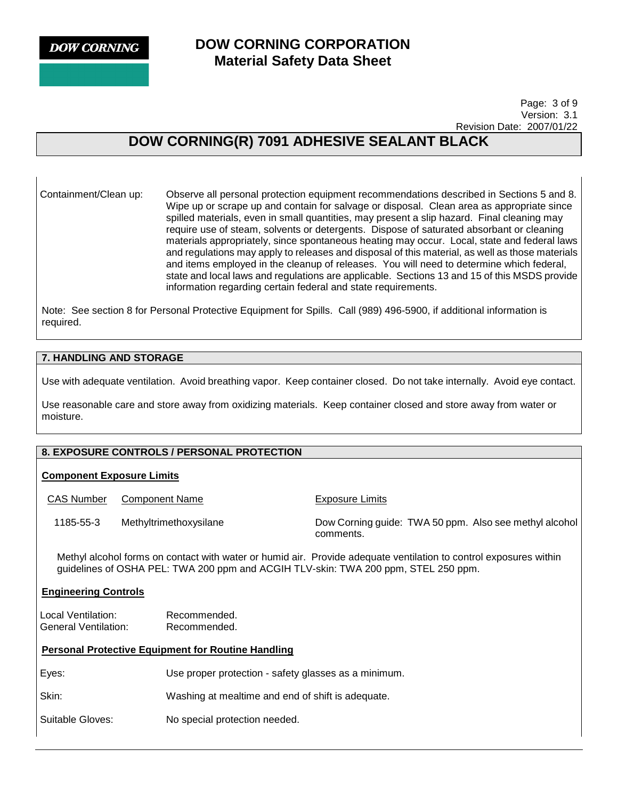# **DOW CORNING CORPORATION Material Safety Data Sheet**

 Page: 3 of 9 Version: 3.1 Revision Date: 2007/01/22

# **DOW CORNING(R) 7091 ADHESIVE SEALANT BLACK**

Containment/Clean up: Observe all personal protection equipment recommendations described in Sections 5 and 8. Wipe up or scrape up and contain for salvage or disposal. Clean area as appropriate since spilled materials, even in small quantities, may present a slip hazard. Final cleaning may require use of steam, solvents or detergents. Dispose of saturated absorbant or cleaning materials appropriately, since spontaneous heating may occur. Local, state and federal laws and regulations may apply to releases and disposal of this material, as well as those materials and items employed in the cleanup of releases. You will need to determine which federal, state and local laws and regulations are applicable. Sections 13 and 15 of this MSDS provide information regarding certain federal and state requirements.

Note: See section 8 for Personal Protective Equipment for Spills. Call (989) 496-5900, if additional information is required.

### **7. HANDLING AND STORAGE**

Use with adequate ventilation. Avoid breathing vapor. Keep container closed. Do not take internally. Avoid eye contact.

Use reasonable care and store away from oxidizing materials. Keep container closed and store away from water or moisture.

## **8. EXPOSURE CONTROLS / PERSONAL PROTECTION**

#### **Component Exposure Limits**

CAS Number Component Name<br>
Exposure Limits 1185-55-3 Methyltrimethoxysilane Dow Corning guide: TWA 50 ppm. Also see methyl alcohol comments. Methyl alcohol forms on contact with water or humid air. Provide adequate ventilation to control exposures within guidelines of OSHA PEL: TWA 200 ppm and ACGIH TLV-skin: TWA 200 ppm, STEL 250 ppm. **Engineering Controls** Local Ventilation: Recommended. General Ventilation: Recommended.

#### **Personal Protective Equipment for Routine Handling**

Eyes: Use proper protection - safety glasses as a minimum.

Skin: Washing at mealtime and end of shift is adequate.

Suitable Gloves: No special protection needed.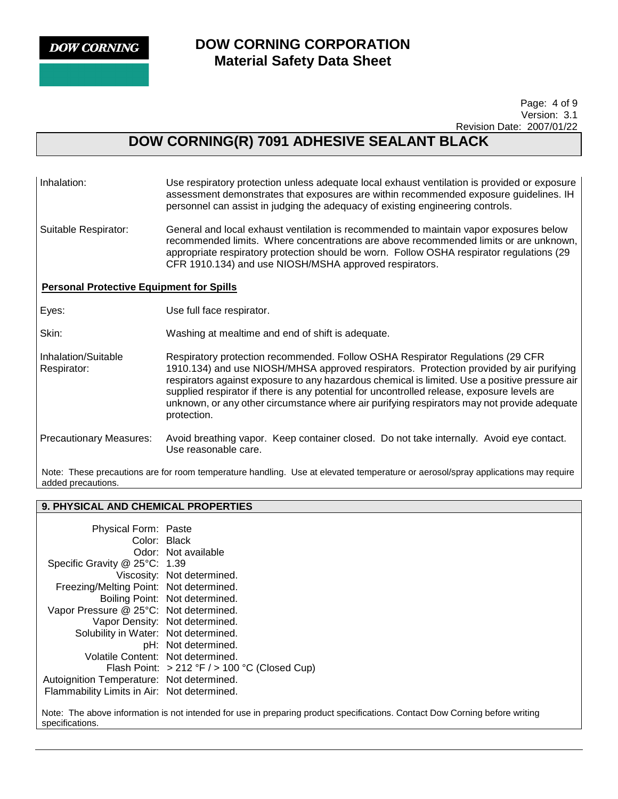# **DOW CORNING CORPORATION Material Safety Data Sheet**

 Page: 4 of 9 Version: 3.1 Revision Date: 2007/01/22

# **DOW CORNING(R) 7091 ADHESIVE SEALANT BLACK**

| Inhalation:                                                                                                                                            | Use respiratory protection unless adequate local exhaust ventilation is provided or exposure<br>assessment demonstrates that exposures are within recommended exposure guidelines. IH<br>personnel can assist in judging the adequacy of existing engineering controls.                                                                                                                                                                                                                  |  |
|--------------------------------------------------------------------------------------------------------------------------------------------------------|------------------------------------------------------------------------------------------------------------------------------------------------------------------------------------------------------------------------------------------------------------------------------------------------------------------------------------------------------------------------------------------------------------------------------------------------------------------------------------------|--|
| Suitable Respirator:                                                                                                                                   | General and local exhaust ventilation is recommended to maintain vapor exposures below<br>recommended limits. Where concentrations are above recommended limits or are unknown,<br>appropriate respiratory protection should be worn. Follow OSHA respirator regulations (29<br>CFR 1910.134) and use NIOSH/MSHA approved respirators.                                                                                                                                                   |  |
| <b>Personal Protective Equipment for Spills</b>                                                                                                        |                                                                                                                                                                                                                                                                                                                                                                                                                                                                                          |  |
| Eyes:                                                                                                                                                  | Use full face respirator.                                                                                                                                                                                                                                                                                                                                                                                                                                                                |  |
| Skin:                                                                                                                                                  | Washing at mealtime and end of shift is adequate.                                                                                                                                                                                                                                                                                                                                                                                                                                        |  |
| Inhalation/Suitable<br>Respirator:                                                                                                                     | Respiratory protection recommended. Follow OSHA Respirator Regulations (29 CFR<br>1910.134) and use NIOSH/MHSA approved respirators. Protection provided by air purifying<br>respirators against exposure to any hazardous chemical is limited. Use a positive pressure air<br>supplied respirator if there is any potential for uncontrolled release, exposure levels are<br>unknown, or any other circumstance where air purifying respirators may not provide adequate<br>protection. |  |
| <b>Precautionary Measures:</b>                                                                                                                         | Avoid breathing vapor. Keep container closed. Do not take internally. Avoid eye contact.<br>Use reasonable care.                                                                                                                                                                                                                                                                                                                                                                         |  |
| Note: These precautions are for room temperature handling. Use at elevated temperature or aerosol/spray applications may require<br>added precautions. |                                                                                                                                                                                                                                                                                                                                                                                                                                                                                          |  |

**9. PHYSICAL AND CHEMICAL PROPERTIES** 

| Physical Form: Paste                        |                                                  |
|---------------------------------------------|--------------------------------------------------|
| Color: Black                                |                                                  |
|                                             | Odor: Not available                              |
| Specific Gravity @ 25°C: 1.39               |                                                  |
|                                             | Viscosity: Not determined.                       |
| Freezing/Melting Point: Not determined.     |                                                  |
|                                             | Boiling Point: Not determined.                   |
| Vapor Pressure @ 25°C: Not determined.      |                                                  |
|                                             | Vapor Density: Not determined.                   |
| Solubility in Water: Not determined.        |                                                  |
|                                             | pH: Not determined.                              |
| Volatile Content: Not determined.           |                                                  |
|                                             | Flash Point: $>212$ °F $/$ > 100 °C (Closed Cup) |
| Autoignition Temperature: Not determined.   |                                                  |
| Flammability Limits in Air: Not determined. |                                                  |

Note: The above information is not intended for use in preparing product specifications. Contact Dow Corning before writing specifications.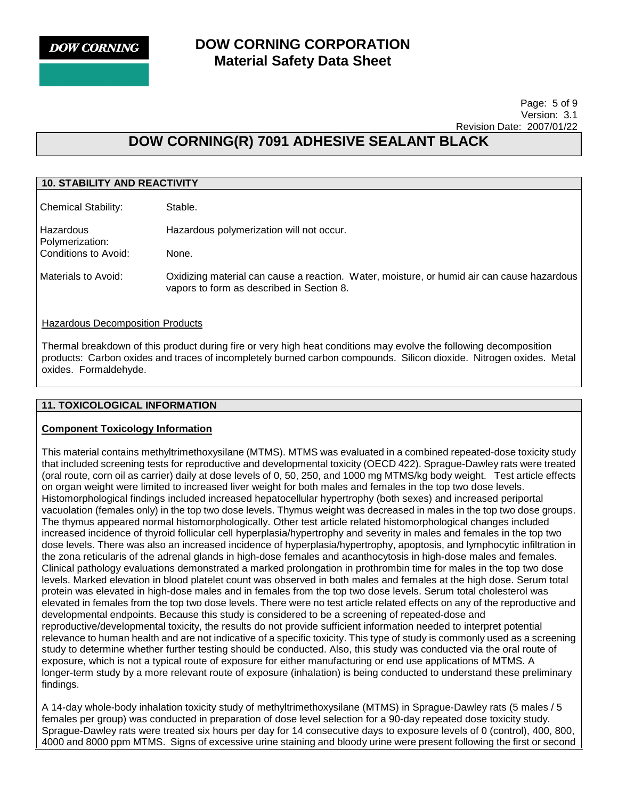# **DOW CORNING CORPORATION Material Safety Data Sheet**

#### Page: 5 of 9 Version: 3.1 Revision Date: 2007/01/22

# **DOW CORNING(R) 7091 ADHESIVE SEALANT BLACK**

| <b>10. STABILITY AND REACTIVITY</b>                                                                                                     |  |  |
|-----------------------------------------------------------------------------------------------------------------------------------------|--|--|
| Stable.                                                                                                                                 |  |  |
| Hazardous polymerization will not occur.                                                                                                |  |  |
| None.                                                                                                                                   |  |  |
| Oxidizing material can cause a reaction. Water, moisture, or humid air can cause hazardous<br>vapors to form as described in Section 8. |  |  |
|                                                                                                                                         |  |  |

Hazardous Decomposition Products Thermal breakdown of this product during fire or very high heat conditions may evolve the following decomposition products: Carbon oxides and traces of incompletely burned carbon compounds. Silicon dioxide. Nitrogen oxides. Metal

#### **11. TOXICOLOGICAL INFORMATION**

oxides. Formaldehyde.

#### **Component Toxicology Information**

This material contains methyltrimethoxysilane (MTMS). MTMS was evaluated in a combined repeated-dose toxicity study that included screening tests for reproductive and developmental toxicity (OECD 422). Sprague-Dawley rats were treated (oral route, corn oil as carrier) daily at dose levels of 0, 50, 250, and 1000 mg MTMS/kg body weight. Test article effects on organ weight were limited to increased liver weight for both males and females in the top two dose levels. Histomorphological findings included increased hepatocellular hypertrophy (both sexes) and increased periportal vacuolation (females only) in the top two dose levels. Thymus weight was decreased in males in the top two dose groups. The thymus appeared normal histomorphologically. Other test article related histomorphological changes included increased incidence of thyroid follicular cell hyperplasia/hypertrophy and severity in males and females in the top two dose levels. There was also an increased incidence of hyperplasia/hypertrophy, apoptosis, and lymphocytic infiltration in the zona reticularis of the adrenal glands in high-dose females and acanthocytosis in high-dose males and females. Clinical pathology evaluations demonstrated a marked prolongation in prothrombin time for males in the top two dose levels. Marked elevation in blood platelet count was observed in both males and females at the high dose. Serum total protein was elevated in high-dose males and in females from the top two dose levels. Serum total cholesterol was elevated in females from the top two dose levels. There were no test article related effects on any of the reproductive and developmental endpoints. Because this study is considered to be a screening of repeated-dose and reproductive/developmental toxicity, the results do not provide sufficient information needed to interpret potential relevance to human health and are not indicative of a specific toxicity. This type of study is commonly used as a screening study to determine whether further testing should be conducted. Also, this study was conducted via the oral route of exposure, which is not a typical route of exposure for either manufacturing or end use applications of MTMS. A longer-term study by a more relevant route of exposure (inhalation) is being conducted to understand these preliminary findings.

A 14-day whole-body inhalation toxicity study of methyltrimethoxysilane (MTMS) in Sprague-Dawley rats (5 males / 5 females per group) was conducted in preparation of dose level selection for a 90-day repeated dose toxicity study. Sprague-Dawley rats were treated six hours per day for 14 consecutive days to exposure levels of 0 (control), 400, 800, 4000 and 8000 ppm MTMS. Signs of excessive urine staining and bloody urine were present following the first or second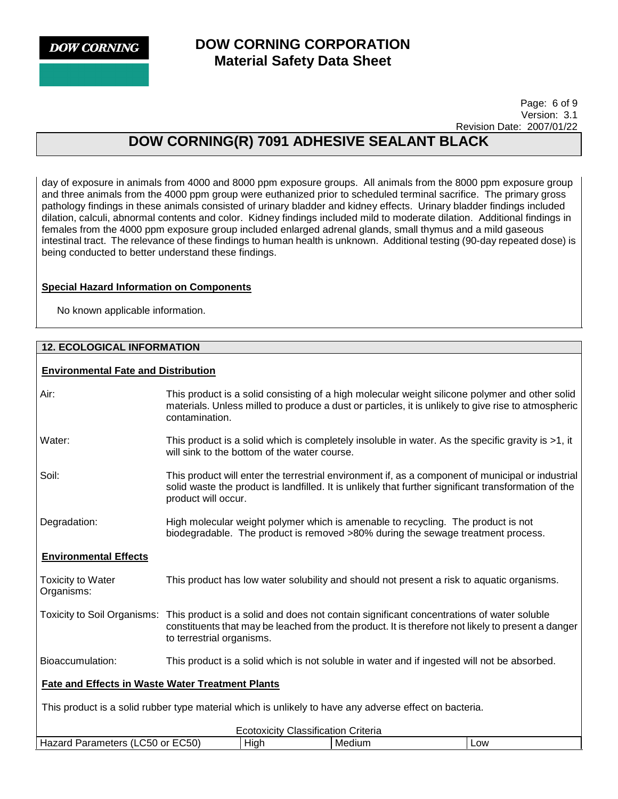# **DOW CORNING CORPORATION Material Safety Data Sheet**

 Page: 6 of 9 Version: 3.1 Revision Date: 2007/01/22

# **DOW CORNING(R) 7091 ADHESIVE SEALANT BLACK**

day of exposure in animals from 4000 and 8000 ppm exposure groups. All animals from the 8000 ppm exposure group and three animals from the 4000 ppm group were euthanized prior to scheduled terminal sacrifice. The primary gross pathology findings in these animals consisted of urinary bladder and kidney effects. Urinary bladder findings included dilation, calculi, abnormal contents and color. Kidney findings included mild to moderate dilation. Additional findings in females from the 4000 ppm exposure group included enlarged adrenal glands, small thymus and a mild gaseous intestinal tract. The relevance of these findings to human health is unknown. Additional testing (90-day repeated dose) is being conducted to better understand these findings.

## **Special Hazard Information on Components**

No known applicable information.

## **12. ECOLOGICAL INFORMATION**

## **Environmental Fate and Distribution**

| Air:                                                                                                   | This product is a solid consisting of a high molecular weight silicone polymer and other solid<br>materials. Unless milled to produce a dust or particles, it is unlikely to give rise to atmospheric<br>contamination.                                |                                                                                             |     |
|--------------------------------------------------------------------------------------------------------|--------------------------------------------------------------------------------------------------------------------------------------------------------------------------------------------------------------------------------------------------------|---------------------------------------------------------------------------------------------|-----|
| Water:                                                                                                 | This product is a solid which is completely insoluble in water. As the specific gravity is >1, it<br>will sink to the bottom of the water course.                                                                                                      |                                                                                             |     |
| Soil:                                                                                                  | This product will enter the terrestrial environment if, as a component of municipal or industrial<br>solid waste the product is landfilled. It is unlikely that further significant transformation of the<br>product will occur.                       |                                                                                             |     |
| Degradation:                                                                                           | High molecular weight polymer which is amenable to recycling. The product is not<br>biodegradable. The product is removed >80% during the sewage treatment process.                                                                                    |                                                                                             |     |
| <b>Environmental Effects</b>                                                                           |                                                                                                                                                                                                                                                        |                                                                                             |     |
| <b>Toxicity to Water</b><br>Organisms:                                                                 |                                                                                                                                                                                                                                                        | This product has low water solubility and should not present a risk to aquatic organisms.   |     |
|                                                                                                        | Toxicity to Soil Organisms: This product is a solid and does not contain significant concentrations of water soluble<br>constituents that may be leached from the product. It is therefore not likely to present a danger<br>to terrestrial organisms. |                                                                                             |     |
| Bioaccumulation:                                                                                       |                                                                                                                                                                                                                                                        | This product is a solid which is not soluble in water and if ingested will not be absorbed. |     |
| <b>Fate and Effects in Waste Water Treatment Plants</b>                                                |                                                                                                                                                                                                                                                        |                                                                                             |     |
| This product is a solid rubber type material which is unlikely to have any adverse effect on bacteria. |                                                                                                                                                                                                                                                        |                                                                                             |     |
| <b>Ecotoxicity Classification Criteria</b>                                                             |                                                                                                                                                                                                                                                        |                                                                                             |     |
| Hazard Parameters (LC50 or EC50)                                                                       | High                                                                                                                                                                                                                                                   | Medium                                                                                      | Low |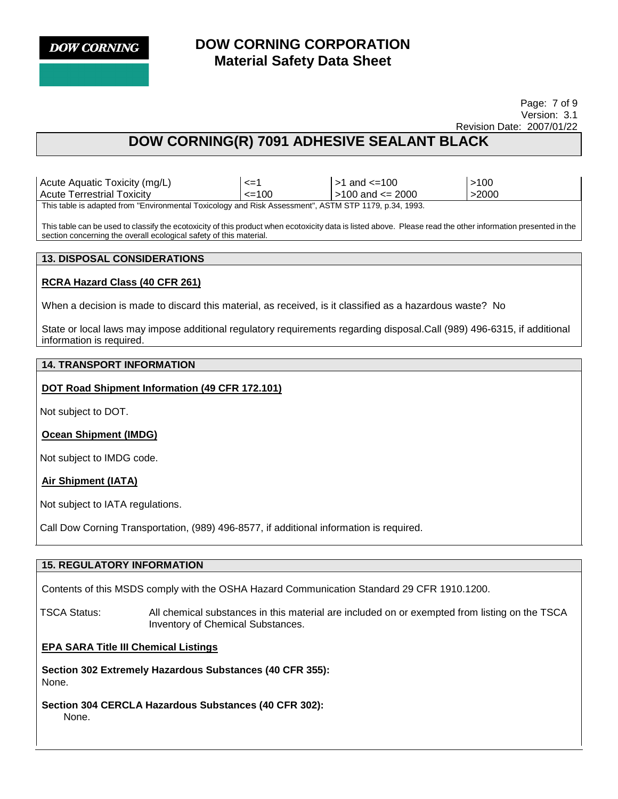# **DOW CORNING CORPORATION Material Safety Data Sheet**

#### Page: 7 of 9 Version: 3.1 Revision Date: 2007/01/22

# **DOW CORNING(R) 7091 ADHESIVE SEALANT BLACK**

Acute Aquatic Toxicity (mg/L)  $\vert$  <=1  $\vert$  >1 and <=100  $\vert$  >100 Acute Terrestrial Toxicity  $\vert$  <=100  $\vert$  >100 and <= 2000  $\vert$  >2000 This table is adapted from "Environmental Toxicology and Risk Assessment", ASTM STP 1179, p.34, 1993.

This table can be used to classify the ecotoxicity of this product when ecotoxicity data is listed above. Please read the other information presented in the section concerning the overall ecological safety of this material.

### **13. DISPOSAL CONSIDERATIONS**

## **RCRA Hazard Class (40 CFR 261)**

When a decision is made to discard this material, as received, is it classified as a hazardous waste? No

State or local laws may impose additional regulatory requirements regarding disposal.Call (989) 496-6315, if additional information is required.

## **14. TRANSPORT INFORMATION**

## **DOT Road Shipment Information (49 CFR 172.101)**

Not subject to DOT.

**Ocean Shipment (IMDG)**

Not subject to IMDG code.

**Air Shipment (IATA)**

Not subject to IATA regulations.

Call Dow Corning Transportation, (989) 496-8577, if additional information is required.

## **15. REGULATORY INFORMATION**

Contents of this MSDS comply with the OSHA Hazard Communication Standard 29 CFR 1910.1200.

TSCA Status: All chemical substances in this material are included on or exempted from listing on the TSCA Inventory of Chemical Substances.

## **EPA SARA Title III Chemical Listings**

**Section 302 Extremely Hazardous Substances (40 CFR 355):**  None.

**Section 304 CERCLA Hazardous Substances (40 CFR 302):**  None.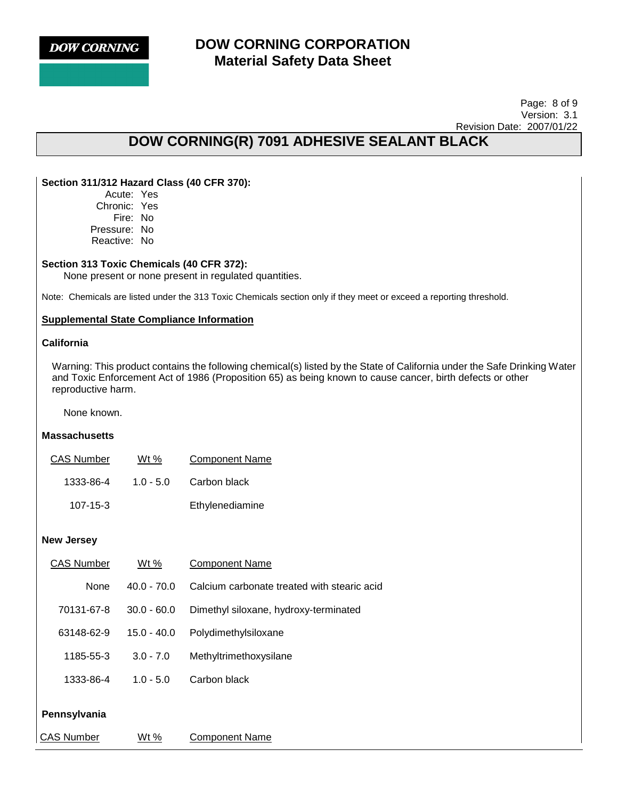## **DOW CORNING CORPORATION Material Safety Data Sheet**

 Page: 8 of 9 Version: 3.1 Revision Date: 2007/01/22

# **DOW CORNING(R) 7091 ADHESIVE SEALANT BLACK**

## **Section 311/312 Hazard Class (40 CFR 370):**

Acute: Yes Chronic: Yes Fire: No Pressure: No Reactive: No

### **Section 313 Toxic Chemicals (40 CFR 372):**

None present or none present in regulated quantities.

Note: Chemicals are listed under the 313 Toxic Chemicals section only if they meet or exceed a reporting threshold.

### **Supplemental State Compliance Information**

#### **California**

Warning: This product contains the following chemical(s) listed by the State of California under the Safe Drinking Water and Toxic Enforcement Act of 1986 (Proposition 65) as being known to cause cancer, birth defects or other reproductive harm.

None known.

## **Massachusetts**

| <b>CAS Number</b> | Wt %        | <b>Component Name</b> |
|-------------------|-------------|-----------------------|
| 1333-86-4         | $1.0 - 5.0$ | Carbon black          |
| $107 - 15 - 3$    |             | Ethylenediamine       |

#### **New Jersey**

| <b>CAS Number</b> | Wt %          | <b>Component Name</b>                       |
|-------------------|---------------|---------------------------------------------|
| None              | $40.0 - 70.0$ | Calcium carbonate treated with stearic acid |
| 70131-67-8        | $30.0 - 60.0$ | Dimethyl siloxane, hydroxy-terminated       |
| 63148-62-9        | $15.0 - 40.0$ | Polydimethylsiloxane                        |
| 1185-55-3         | $3.0 - 7.0$   | Methyltrimethoxysilane                      |
| 1333-86-4         | $1.0 - 5.0$   | Carbon black                                |
| Pennsylvania      |               |                                             |
| <b>CAS Number</b> | Wt %          | <b>Component Name</b>                       |